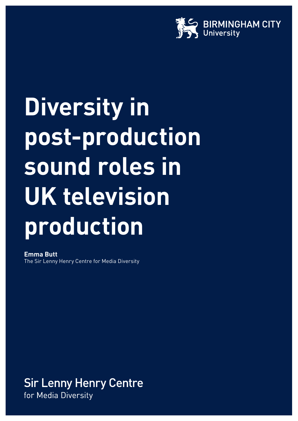

# **Diversity in post-production sound roles in UK television production**

**Emma Butt** The Sir Lenny Henry Centre for Media Diversity

**Sir Lenny Henry Centre** for Media Diversity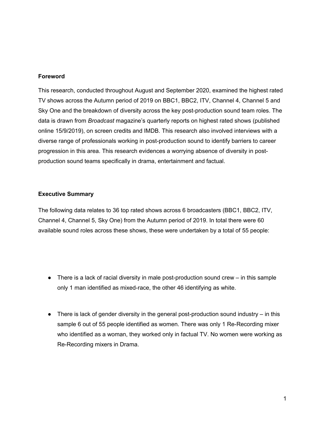### **Foreword**

This research, conducted throughout August and September 2020, examined the highest rated TV shows across the Autumn period of 2019 on BBC1, BBC2, ITV, Channel 4, Channel 5 and Sky One and the breakdown of diversity across the key post-production sound team roles. The data is drawn from *Broadcast* magazine's quarterly reports on highest rated shows (published online 15/9/2019), on screen credits and IMDB. This research also involved interviews with a diverse range of professionals working in post-production sound to identify barriers to career progression in this area. This research evidences a worrying absence of diversity in postproduction sound teams specifically in drama, entertainment and factual.

### **Executive Summary**

The following data relates to 36 top rated shows across 6 broadcasters (BBC1, BBC2, ITV, Channel 4, Channel 5, Sky One) from the Autumn period of 2019. In total there were 60 available sound roles across these shows, these were undertaken by a total of 55 people:

- There is a lack of racial diversity in male post-production sound crew in this sample only 1 man identified as mixed-race, the other 46 identifying as white.
- $\bullet$  There is lack of gender diversity in the general post-production sound industry in this sample 6 out of 55 people identified as women. There was only 1 Re-Recording mixer who identified as a woman, they worked only in factual TV. No women were working as Re-Recording mixers in Drama.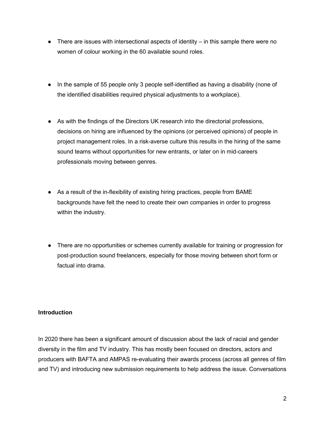- $\bullet$  There are issues with intersectional aspects of identity  $-$  in this sample there were no women of colour working in the 60 available sound roles.
- In the sample of 55 people only 3 people self-identified as having a disability (none of the identified disabilities required physical adjustments to a workplace).
- As with the findings of the Directors UK research into the directorial professions, decisions on hiring are influenced by the opinions (or perceived opinions) of people in project management roles. In a risk-averse culture this results in the hiring of the same sound teams without opportunities for new entrants, or later on in mid-careers professionals moving between genres.
- As a result of the in-flexibility of existing hiring practices, people from BAME backgrounds have felt the need to create their own companies in order to progress within the industry.
- There are no opportunities or schemes currently available for training or progression for post-production sound freelancers, especially for those moving between short form or factual into drama.

# **Introduction**

In 2020 there has been a significant amount of discussion about the lack of racial and gender diversity in the film and TV industry. This has mostly been focused on directors, actors and producers with BAFTA and AMPAS re-evaluating their awards process (across all genres of film and TV) and introducing new submission requirements to help address the issue. Conversations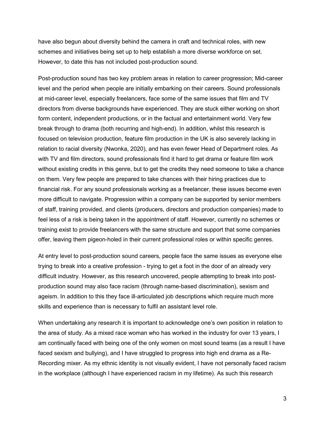have also begun about diversity behind the camera in craft and technical roles, with new schemes and initiatives being set up to help establish a more diverse workforce on set. However, to date this has not included post-production sound.

Post-production sound has two key problem areas in relation to career progression; Mid-career level and the period when people are initially embarking on their careers. Sound professionals at mid-career level, especially freelancers, face some of the same issues that film and TV directors from diverse backgrounds have experienced. They are stuck either working on short form content, independent productions, or in the factual and entertainment world. Very few break through to drama (both recurring and high-end). In addition, whilst this research is focused on television production, feature film production in the UK is also severely lacking in relation to racial diversity (Nwonka, 2020), and has even fewer Head of Department roles. As with TV and film directors, sound professionals find it hard to get drama or feature film work without existing credits in this genre, but to get the credits they need someone to take a chance on them. Very few people are prepared to take chances with their hiring practices due to financial risk. For any sound professionals working as a freelancer, these issues become even more difficult to navigate. Progression within a company can be supported by senior members of staff, training provided, and clients (producers, directors and production companies) made to feel less of a risk is being taken in the appointment of staff. However, currently no schemes or training exist to provide freelancers with the same structure and support that some companies offer, leaving them pigeon-holed in their current professional roles or within specific genres.

At entry level to post-production sound careers, people face the same issues as everyone else trying to break into a creative profession - trying to get a foot in the door of an already very difficult industry. However, as this research uncovered, people attempting to break into postproduction sound may also face racism (through name-based discrimination), sexism and ageism. In addition to this they face ill-articulated job descriptions which require much more skills and experience than is necessary to fulfil an assistant level role.

When undertaking any research it is important to acknowledge one's own position in relation to the area of study. As a mixed race woman who has worked in the industry for over 13 years, I am continually faced with being one of the only women on most sound teams (as a result I have faced sexism and bullying), and I have struggled to progress into high end drama as a Re-Recording mixer. As my ethnic identity is not visually evident, I have not personally faced racism in the workplace (although I have experienced racism in my lifetime). As such this research

3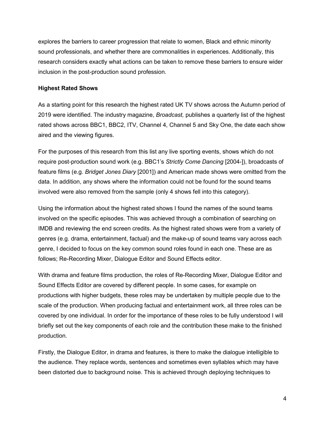explores the barriers to career progression that relate to women, Black and ethnic minority sound professionals, and whether there are commonalities in experiences. Additionally, this research considers exactly what actions can be taken to remove these barriers to ensure wider inclusion in the post-production sound profession.

## **Highest Rated Shows**

As a starting point for this research the highest rated UK TV shows across the Autumn period of 2019 were identified. The industry magazine, *Broadcast,* publishes a quarterly list of the highest rated shows across BBC1, BBC2, ITV, Channel 4, Channel 5 and Sky One, the date each show aired and the viewing figures.

For the purposes of this research from this list any live sporting events, shows which do not require post-production sound work (e.g. BBC1's *Strictly Come Dancing* [2004-]), broadcasts of feature films (e.g. *Bridget Jones Diary* [2001]) and American made shows were omitted from the data. In addition, any shows where the information could not be found for the sound teams involved were also removed from the sample (only 4 shows fell into this category).

Using the information about the highest rated shows I found the names of the sound teams involved on the specific episodes. This was achieved through a combination of searching on IMDB and reviewing the end screen credits. As the highest rated shows were from a variety of genres (e.g. drama, entertainment, factual) and the make-up of sound teams vary across each genre, I decided to focus on the key common sound roles found in each one. These are as follows; Re-Recording Mixer, Dialogue Editor and Sound Effects editor.

With drama and feature films production, the roles of Re-Recording Mixer, Dialogue Editor and Sound Effects Editor are covered by different people. In some cases, for example on productions with higher budgets, these roles may be undertaken by multiple people due to the scale of the production. When producing factual and entertainment work, all three roles can be covered by one individual. In order for the importance of these roles to be fully understood I will briefly set out the key components of each role and the contribution these make to the finished production.

Firstly, the Dialogue Editor, in drama and features, is there to make the dialogue intelligible to the audience. They replace words, sentences and sometimes even syllables which may have been distorted due to background noise. This is achieved through deploying techniques to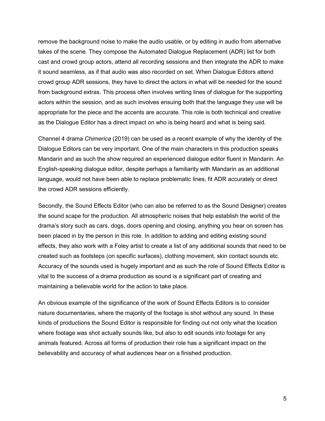remove the background noise to make the audio usable, or by editing in audio from alternative takes of the scene. They compose the Automated Dialogue Replacement (ADR) list for both cast and crowd group actors, attend all recording sessions and then integrate the ADR to make it sound seamless, as if that audio was also recorded on set. When Dialogue Editors attend crowd group ADR sessions, they have to direct the actors in what will be needed for the sound from background extras. This process often involves writing lines of dialogue for the supporting actors within the session, and as such involves ensuing both that the language they use will be appropriate for the piece and the accents are accurate. This role is both technical and creative as the Dialogue Editor has a direct impact on who is being heard and what is being said.

Channel 4 drama *Chimerica* (2019) can be used as a recent example of why the identity of the Dialogue Editors can be very important. One of the main characters in this production speaks Mandarin and as such the show required an experienced dialogue editor fluent in Mandarin. An English-speaking dialogue editor, despite perhaps a familiarity with Mandarin as an additional language, would not have been able to replace problematic lines, fit ADR accurately or direct the crowd ADR sessions efficiently.

Secondly, the Sound Effects Editor (who can also be referred to as the Sound Designer) creates the sound scape for the production. All atmospheric noises that help establish the world of the drama's story such as cars, dogs, doors opening and closing, anything you hear on screen has been placed in by the person in this role. In addition to adding and editing existing sound effects, they also work with a Foley artist to create a list of any additional sounds that need to be created such as footsteps (on specific surfaces), clothing movement, skin contact sounds etc. Accuracy of the sounds used is hugely important and as such the role of Sound Effects Editor is vital to the success of a drama production as sound is a significant part of creating and maintaining a believable world for the action to take place.

An obvious example of the significance of the work of Sound Effects Editors is to consider nature documentaries, where the majority of the footage is shot without any sound. In these kinds of productions the Sound Editor is responsible for finding out not only what the location where footage was shot actually sounds like, but also to edit sounds into footage for any animals featured. Across all forms of production their role has a significant impact on the believability and accuracy of what audiences hear on a finished production.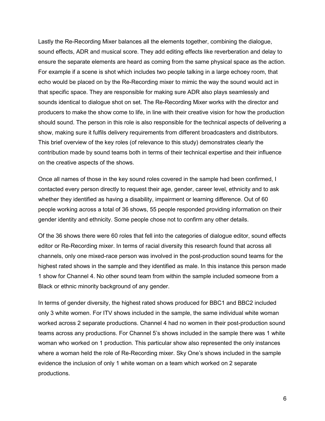Lastly the Re-Recording Mixer balances all the elements together, combining the dialogue, sound effects, ADR and musical score. They add editing effects like reverberation and delay to ensure the separate elements are heard as coming from the same physical space as the action. For example if a scene is shot which includes two people talking in a large echoey room, that echo would be placed on by the Re-Recording mixer to mimic the way the sound would act in that specific space. They are responsible for making sure ADR also plays seamlessly and sounds identical to dialogue shot on set. The Re-Recording Mixer works with the director and producers to make the show come to life, in line with their creative vision for how the production should sound. The person in this role is also responsible for the technical aspects of delivering a show, making sure it fulfils delivery requirements from different broadcasters and distributors. This brief overview of the key roles (of relevance to this study) demonstrates clearly the contribution made by sound teams both in terms of their technical expertise and their influence on the creative aspects of the shows.

Once all names of those in the key sound roles covered in the sample had been confirmed, I contacted every person directly to request their age, gender, career level, ethnicity and to ask whether they identified as having a disability, impairment or learning difference. Out of 60 people working across a total of 36 shows, 55 people responded providing information on their gender identity and ethnicity. Some people chose not to confirm any other details.

Of the 36 shows there were 60 roles that fell into the categories of dialogue editor, sound effects editor or Re-Recording mixer. In terms of racial diversity this research found that across all channels, only one mixed-race person was involved in the post-production sound teams for the highest rated shows in the sample and they identified as male. In this instance this person made 1 show for Channel 4. No other sound team from within the sample included someone from a Black or ethnic minority background of any gender.

In terms of gender diversity, the highest rated shows produced for BBC1 and BBC2 included only 3 white women. For ITV shows included in the sample, the same individual white woman worked across 2 separate productions. Channel 4 had no women in their post-production sound teams across any productions. For Channel 5's shows included in the sample there was 1 white woman who worked on 1 production. This particular show also represented the only instances where a woman held the role of Re-Recording mixer. Sky One's shows included in the sample evidence the inclusion of only 1 white woman on a team which worked on 2 separate productions.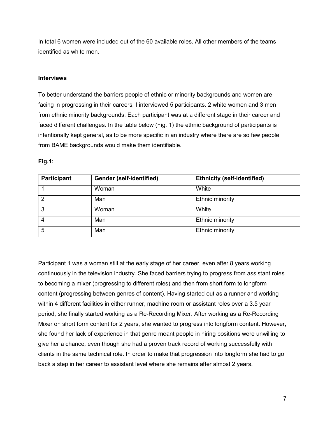In total 6 women were included out of the 60 available roles. All other members of the teams identified as white men.

## **Interviews**

To better understand the barriers people of ethnic or minority backgrounds and women are facing in progressing in their careers, I interviewed 5 participants. 2 white women and 3 men from ethnic minority backgrounds. Each participant was at a different stage in their career and faced different challenges. In the table below (Fig. 1) the ethnic background of participants is intentionally kept general, as to be more specific in an industry where there are so few people from BAME backgrounds would make them identifiable.

| <b>Participant</b> | <b>Gender (self-identified)</b> | <b>Ethnicity (self-identified)</b> |
|--------------------|---------------------------------|------------------------------------|
|                    | Woman                           | White                              |
| 2                  | Man                             | Ethnic minority                    |
| 3                  | Woman                           | White                              |
| 4                  | Man                             | Ethnic minority                    |
| 5                  | Man                             | Ethnic minority                    |

## **Fig.1:**

Participant 1 was a woman still at the early stage of her career, even after 8 years working continuously in the television industry. She faced barriers trying to progress from assistant roles to becoming a mixer (progressing to different roles) and then from short form to longform content (progressing between genres of content). Having started out as a runner and working within 4 different facilities in either runner, machine room or assistant roles over a 3.5 year period, she finally started working as a Re-Recording Mixer. After working as a Re-Recording Mixer on short form content for 2 years, she wanted to progress into longform content. However, she found her lack of experience in that genre meant people in hiring positions were unwilling to give her a chance, even though she had a proven track record of working successfully with clients in the same technical role. In order to make that progression into longform she had to go back a step in her career to assistant level where she remains after almost 2 years.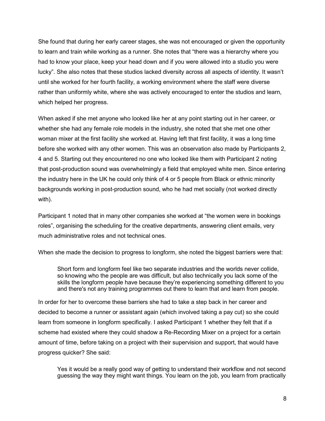She found that during her early career stages, she was not encouraged or given the opportunity to learn and train while working as a runner. She notes that "there was a hierarchy where you had to know your place, keep your head down and if you were allowed into a studio you were lucky". She also notes that these studios lacked diversity across all aspects of identity. It wasn't until she worked for her fourth facility, a working environment where the staff were diverse rather than uniformly white, where she was actively encouraged to enter the studios and learn, which helped her progress.

When asked if she met anyone who looked like her at any point starting out in her career, or whether she had any female role models in the industry, she noted that she met one other woman mixer at the first facility she worked at. Having left that first facility, it was a long time before she worked with any other women. This was an observation also made by Participants 2, 4 and 5. Starting out they encountered no one who looked like them with Participant 2 noting that post-production sound was overwhelmingly a field that employed white men. Since entering the industry here in the UK he could only think of 4 or 5 people from Black or ethnic minority backgrounds working in post-production sound, who he had met socially (not worked directly with).

Participant 1 noted that in many other companies she worked at "the women were in bookings roles", organising the scheduling for the creative departments, answering client emails, very much administrative roles and not technical ones.

When she made the decision to progress to longform, she noted the biggest barriers were that:

Short form and longform feel like two separate industries and the worlds never collide, so knowing who the people are was difficult, but also technically you lack some of the skills the longform people have because they're experiencing something different to you and there's not any training programmes out there to learn that and learn from people.

In order for her to overcome these barriers she had to take a step back in her career and decided to become a runner or assistant again (which involved taking a pay cut) so she could learn from someone in longform specifically. I asked Participant 1 whether they felt that if a scheme had existed where they could shadow a Re-Recording Mixer on a project for a certain amount of time, before taking on a project with their supervision and support, that would have progress quicker? She said:

Yes it would be a really good way of getting to understand their workflow and not second guessing the way they might want things. You learn on the job, you learn from practically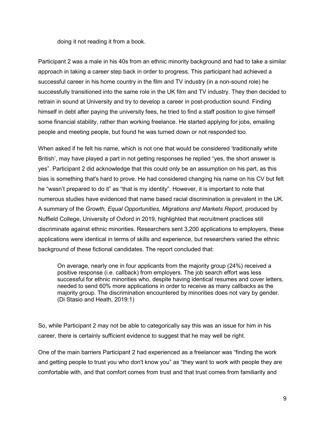doing it not reading it from a book.

Participant 2 was a male in his 40s from an ethnic minority background and had to take a similar approach in taking a career step back in order to progress. This participant had achieved a successful career in his home country in the film and TV industry (in a non-sound role) he successfully transitioned into the same role in the UK film and TV industry. They then decided to retrain in sound at University and try to develop a career in post-production sound. Finding himself in debt after paying the university fees, he tried to find a staff position to give himself some financial stability, rather than working freelance. He started applying for jobs, emailing people and meeting people, but found he was turned down or not responded too.

When asked if he felt his name, which is not one that would be considered 'traditionally white British', may have played a part in not getting responses he replied "yes, the short answer is yes". Participant 2 did acknowledge that this could only be an assumption on his part, as this bias is something that's hard to prove. He had considered changing his name on his CV but felt he "wasn't prepared to do it" as "that is my identity". However, it is important to note that numerous studies have evidenced that name based racial discrimination is prevalent in the UK. A summary of the *Growth, Equal Opportunities, Migrations and Markets Report*, produced by Nuffield College, University of Oxford in 2019, highlighted that recruitment practices still discriminate against ethnic minorities. Researchers sent 3,200 applications to employers, these applications were identical in terms of skills and experience, but researchers varied the ethnic background of these fictional candidates. The report concluded that:

On average, nearly one in four applicants from the majority group (24%) received a positive response (i.e. callback) from employers. The job search effort was less successful for ethnic minorities who, despite having identical resumes and cover letters, needed to send 60% more applications in order to receive as many callbacks as the majority group. The discrimination encountered by minorities does not vary by gender. (Di Stasio and Heath, 2019:1)

So, while Participant 2 may not be able to categorically say this was an issue for him in his career, there is certainly sufficient evidence to suggest that he may well be right.

One of the main barriers Participant 2 had experienced as a freelancer was "finding the work and getting people to trust you who don't know you" as "they want to work with people they are comfortable with, and that comfort comes from trust and that trust comes from familiarity and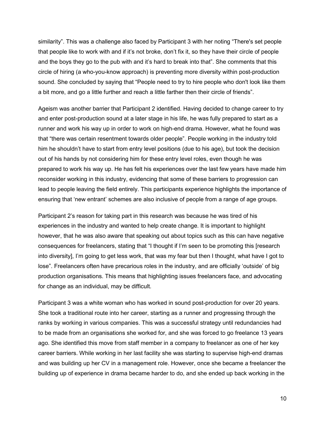similarity". This was a challenge also faced by Participant 3 with her noting "There's set people that people like to work with and if it's not broke, don't fix it, so they have their circle of people and the boys they go to the pub with and it's hard to break into that". She comments that this circle of hiring (a who-you-know approach) is preventing more diversity within post-production sound. She concluded by saying that "People need to try to hire people who don't look like them a bit more, and go a little further and reach a little farther then their circle of friends".

Ageism was another barrier that Participant 2 identified. Having decided to change career to try and enter post-production sound at a later stage in his life, he was fully prepared to start as a runner and work his way up in order to work on high-end drama. However, what he found was that "there was certain resentment towards older people". People working in the industry told him he shouldn't have to start from entry level positions (due to his age), but took the decision out of his hands by not considering him for these entry level roles, even though he was prepared to work his way up. He has felt his experiences over the last few years have made him reconsider working in this industry, evidencing that some of these barriers to progression can lead to people leaving the field entirely. This participants experience highlights the importance of ensuring that 'new entrant' schemes are also inclusive of people from a range of age groups.

Participant 2's reason for taking part in this research was because he was tired of his experiences in the industry and wanted to help create change. It is important to highlight however, that he was also aware that speaking out about topics such as this can have negative consequences for freelancers, stating that "I thought if I'm seen to be promoting this [research into diversity], I'm going to get less work, that was my fear but then I thought, what have I got to lose". Freelancers often have precarious roles in the industry, and are officially 'outside' of big production organisations. This means that highlighting issues freelancers face, and advocating for change as an individual, may be difficult.

Participant 3 was a white woman who has worked in sound post-production for over 20 years. She took a traditional route into her career, starting as a runner and progressing through the ranks by working in various companies. This was a successful strategy until redundancies had to be made from an organisations she worked for, and she was forced to go freelance 13 years ago. She identified this move from staff member in a company to freelancer as one of her key career barriers. While working in her last facility she was starting to supervise high-end dramas and was building up her CV in a management role. However, once she became a freelancer the building up of experience in drama became harder to do, and she ended up back working in the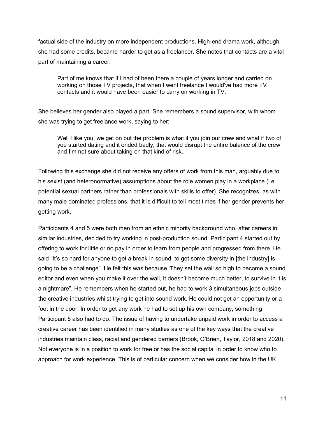factual side of the industry on more independent productions. High-end drama work, although she had some credits, became harder to get as a freelancer. She notes that contacts are a vital part of maintaining a career:

Part of me knows that if I had of been there a couple of years longer and carried on working on those TV projects, that when I went freelance I would've had more TV contacts and it would have been easier to carry on working in TV.

She believes her gender also played a part. She remembers a sound supervisor, with whom she was trying to get freelance work, saying to her:

Well I like you, we get on but the problem is what if you join our crew and what if two of you started dating and it ended badly, that would disrupt the entire balance of the crew and I'm not sure about taking on that kind of risk.

Following this exchange she did not receive any offers of work from this man, arguably due to his sexist (and heteronormative) assumptions about the role women play in a workplace (i.e. potential sexual partners rather than professionals with skills to offer). She recognizes, as with many male dominated professions, that it is difficult to tell most times if her gender prevents her getting work.

Participants 4 and 5 were both men from an ethnic minority background who, after careers in similar industries, decided to try working in post-production sound. Participant 4 started out by offering to work for little or no pay in order to learn from people and progressed from there. He said "It's so hard for anyone to get a break in sound, to get some diversity in [the industry] is going to be a challenge". He felt this was because 'They set the wall so high to become a sound editor and even when you make it over the wall, it doesn't become much better, to survive in it is a nightmare". He remembers when he started out, he had to work 3 simultaneous jobs outside the creative industries whilst trying to get into sound work. He could not get an opportunity or a foot in the door. In order to get any work he had to set up his own company, something Participant 5 also had to do. The issue of having to undertake unpaid work in order to access a creative career has been identified in many studies as one of the key ways that the creative industries maintain class, racial and gendered barriers (Brook, O'Brien, Taylor, 2018 and 2020). Not everyone is in a position to work for free or has the social capital in order to know who to approach for work experience. This is of particular concern when we consider how in the UK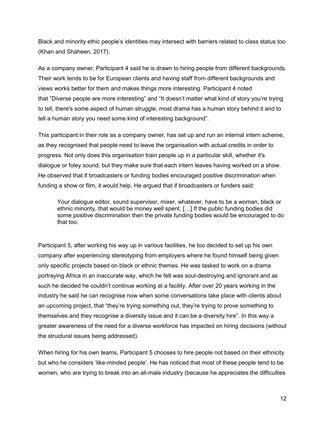Black and minority ethic people's identities may intersect with barriers related to class status too (Khan and Shaheen, 2017).

As a company owner, Participant 4 said he is drawn to hiring people from different backgrounds. Their work tends to be for European clients and having staff from different backgrounds and views works better for them and makes things more interesting. Participant 4 noted that "Diverse people are more interesting" and "It doesn't matter what kind of story you're trying to tell, there's some aspect of human struggle, most drama has a human story behind it and to tell a human story you need some kind of interesting background".

This participant in their role as a company owner, has set up and run an internal intern scheme, as they recognised that people need to leave the organisation with actual credits in order to progress. Not only does this organisation train people up in a particular skill, whether it's dialogue or foley sound, but they make sure that each intern leaves having worked on a show. He observed that if broadcasters or funding bodies encouraged positive discrimination when funding a show or film, it would help. He argued that if broadcasters or funders said:

Your dialogue editor, sound supervisor, mixer, whatever, have to be a woman, black or ethnic minority, that would be money well spent. […] If the public funding bodies did some positive discrimination then the private funding bodies would be encouraged to do that too.

Participant 5, after working his way up in various facilities, he too decided to set up his own company after experiencing stereotyping from employers where he found himself being given only specific projects based on black or ethnic themes. He was tasked to work on a drama portraying Africa in an inaccurate way, which he felt was soul-destroying and ignorant and as such he decided he couldn't continue working at a facility. After over 20 years working in the industry he said he can recognise now when some conversations take place with clients about an upcoming project, that "they're trying something out, they're trying to prove something to themselves and they recognise a diversity issue and it can be a diversity hire". In this way a greater awareness of the need for a diverse workforce has impacted on hiring decisions (without the structural issues being addressed).

When hiring for his own teams, Participant 5 chooses to hire people not based on their ethnicity but who he considers 'like-minded people'. He has noticed that most of these people tend to be women, who are trying to break into an all-male industry (because he appreciates the difficulties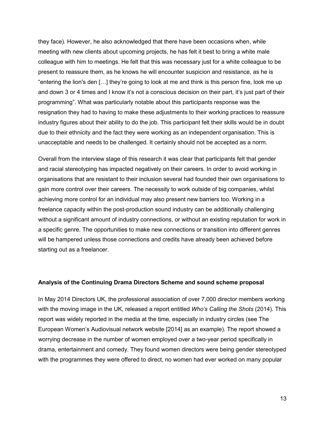they face). However, he also acknowledged that there have been occasions when, while meeting with new clients about upcoming projects, he has felt it best to bring a white male colleague with him to meetings. He felt that this was necessary just for a white colleague to be present to reassure them, as he knows he will encounter suspicion and resistance, as he is "entering the lion's den […] they're going to look at me and think is this person fine, look me up and down 3 or 4 times and I know it's not a conscious decision on their part, it's just part of their programming". What was particularly notable about this participants response was the resignation they had to having to make these adjustments to their working practices to reassure industry figures about their ability to do the job. This participant felt their skills would be in doubt due to their ethnicity and the fact they were working as an independent organisation. This is unacceptable and needs to be challenged. It certainly should not be accepted as a norm.

Overall from the interview stage of this research it was clear that participants felt that gender and racial stereotyping has impacted negatively on their careers. In order to avoid working in organisations that are resistant to their inclusion several had founded their own organisations to gain more control over their careers. The necessity to work outside of big companies, whilst achieving more control for an individual may also present new barriers too. Working in a freelance capacity within the post-production sound industry can be additionally challenging without a significant amount of industry connections, or without an existing reputation for work in a specific genre. The opportunities to make new connections or transition into different genres will be hampered unless those connections and credits have already been achieved before starting out as a freelancer.

#### **Analysis of the Continuing Drama Directors Scheme and sound scheme proposal**

In May 2014 Directors UK, the professional association of over 7,000 director members working with the moving image in the UK, released a report entitled *Who's Calling the Shots* (2014). This report was widely reported in the media at the time, especially in industry circles (see The European Women's Audiovisual network website [2014] as an example). The report showed a worrying decrease in the number of women employed over a two-year period specifically in drama, entertainment and comedy. They found women directors were being gender stereotyped with the programmes they were offered to direct, no women had ever worked on many popular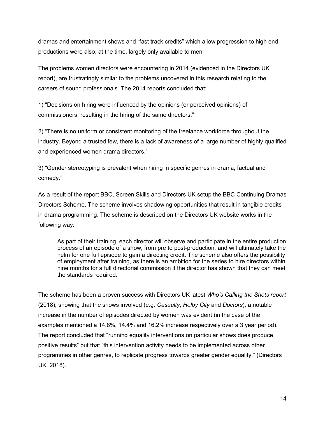dramas and entertainment shows and "fast track credits" which allow progression to high end productions were also, at the time, largely only available to men

The problems women directors were encountering in 2014 (evidenced in the Directors UK report), are frustratingly similar to the problems uncovered in this research relating to the careers of sound professionals. The 2014 reports concluded that:

1) "Decisions on hiring were influenced by the opinions (or perceived opinions) of commissioners, resulting in the hiring of the same directors."

2) "There is no uniform or consistent monitoring of the freelance workforce throughout the industry. Beyond a trusted few, there is a lack of awareness of a large number of highly qualified and experienced women drama directors."

3) "Gender stereotyping is prevalent when hiring in specific genres in drama, factual and comedy."

As a result of the report BBC, Screen Skills and Directors UK setup the BBC Continuing Dramas Directors Scheme. The scheme involves shadowing opportunities that result in tangible credits in drama programming. The scheme is described on the Directors UK website works in the following way:

As part of their training, each director will observe and participate in the entire production process of an episode of a show, from pre to post-production, and will ultimately take the helm for one full episode to gain a directing credit. The scheme also offers the possibility of employment after training, as there is an ambition for the series to hire directors within nine months for a full directorial commission if the director has shown that they can meet the standards required.

The scheme has been a proven success with Directors UK latest *Who's Calling the Shots report* (2018), showing that the shows involved (e.g. *Casualty*, *Holby City* and *Doctors*), a notable increase in the number of episodes directed by women was evident (in the case of the examples mentioned a 14.8%, 14.4% and 16.2% increase respectively over a 3 year period). The report concluded that "running equality interventions on particular shows does produce positive results" but that "this intervention activity needs to be implemented across other programmes in other genres, to replicate progress towards greater gender equality." (Directors UK, 2018).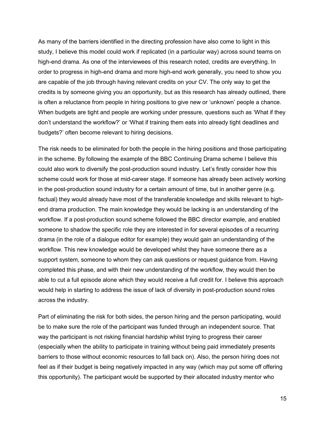As many of the barriers identified in the directing profession have also come to light in this study, I believe this model could work if replicated (in a particular way) across sound teams on high-end drama. As one of the interviewees of this research noted, credits are everything. In order to progress in high-end drama and more high-end work generally, you need to show you are capable of the job through having relevant credits on your CV. The only way to get the credits is by someone giving you an opportunity, but as this research has already outlined, there is often a reluctance from people in hiring positions to give new or 'unknown' people a chance. When budgets are tight and people are working under pressure, questions such as 'What if they don't understand the workflow?' or 'What if training them eats into already tight deadlines and budgets?' often become relevant to hiring decisions.

The risk needs to be eliminated for both the people in the hiring positions and those participating in the scheme. By following the example of the BBC Continuing Drama scheme I believe this could also work to diversify the post-production sound industry. Let's firstly consider how this scheme could work for those at mid-career stage. If someone has already been actively working in the post-production sound industry for a certain amount of time, but in another genre (e.g. factual) they would already have most of the transferable knowledge and skills relevant to highend drama production. The main knowledge they would be lacking is an understanding of the workflow. If a post-production sound scheme followed the BBC director example, and enabled someone to shadow the specific role they are interested in for several episodes of a recurring drama (in the role of a dialogue editor for example) they would gain an understanding of the workflow. This new knowledge would be developed whilst they have someone there as a support system, someone to whom they can ask questions or request guidance from. Having completed this phase, and with their new understanding of the workflow, they would then be able to cut a full episode alone which they would receive a full credit for. I believe this approach would help in starting to address the issue of lack of diversity in post-production sound roles across the industry.

Part of eliminating the risk for both sides, the person hiring and the person participating, would be to make sure the role of the participant was funded through an independent source. That way the participant is not risking financial hardship whilst trying to progress their career (especially when the ability to participate in training without being paid immediately presents barriers to those without economic resources to fall back on). Also, the person hiring does not feel as if their budget is being negatively impacted in any way (which may put some off offering this opportunity). The participant would be supported by their allocated industry mentor who

15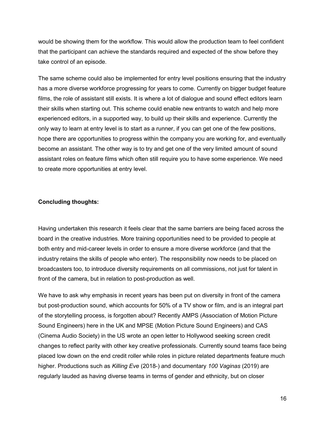would be showing them for the workflow. This would allow the production team to feel confident that the participant can achieve the standards required and expected of the show before they take control of an episode.

The same scheme could also be implemented for entry level positions ensuring that the industry has a more diverse workforce progressing for years to come. Currently on bigger budget feature films, the role of assistant still exists. It is where a lot of dialogue and sound effect editors learn their skills when starting out. This scheme could enable new entrants to watch and help more experienced editors, in a supported way, to build up their skills and experience. Currently the only way to learn at entry level is to start as a runner, if you can get one of the few positions, hope there are opportunities to progress within the company you are working for, and eventually become an assistant. The other way is to try and get one of the very limited amount of sound assistant roles on feature films which often still require you to have some experience. We need to create more opportunities at entry level.

#### **Concluding thoughts:**

Having undertaken this research it feels clear that the same barriers are being faced across the board in the creative industries. More training opportunities need to be provided to people at both entry and mid-career levels in order to ensure a more diverse workforce (and that the industry retains the skills of people who enter). The responsibility now needs to be placed on broadcasters too, to introduce diversity requirements on all commissions, not just for talent in front of the camera, but in relation to post-production as well.

We have to ask why emphasis in recent years has been put on diversity in front of the camera but post-production sound, which accounts for 50% of a TV show or film, and is an integral part of the storytelling process, is forgotten about? Recently AMPS (Association of Motion Picture Sound Engineers) here in the UK and MPSE (Motion Picture Sound Engineers) and CAS (Cinema Audio Society) in the US wrote an open letter to Hollywood seeking screen credit changes to reflect parity with other key creative professionals. Currently sound teams face being placed low down on the end credit roller while roles in picture related departments feature much higher. Productions such as *Killing Eve* (2018-) and documentary *100 Vaginas* (2019) are regularly lauded as having diverse teams in terms of gender and ethnicity, but on closer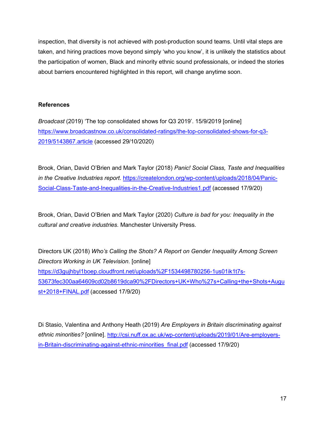inspection, that diversity is not achieved with post-production sound teams. Until vital steps are taken, and hiring practices move beyond simply 'who you know', it is unlikely the statistics about the participation of women, Black and minority ethnic sound professionals, or indeed the stories about barriers encountered highlighted in this report, will change anytime soon.

## **References**

*Broadcast* (2019) 'The top consolidated shows for Q3 2019'. 15/9/2019 [online] [https://www.broadcastnow.co.uk/consolidated-ratings/the-top-consolidated-shows-for-q3-](https://www.broadcastnow.co.uk/consolidated-ratings/the-top-consolidated-shows-for-q3-2019/5143867.article) [2019/5143867.article](https://www.broadcastnow.co.uk/consolidated-ratings/the-top-consolidated-shows-for-q3-2019/5143867.article) (accessed 29/10/2020)

Brook, Orian, David O'Brien and Mark Taylor (2018) *Panic! Social Class, Taste and Inequalities in the Creative Industries report*. [https://createlondon.org/wp-content/uploads/2018/04/Panic-](https://createlondon.org/wp-content/uploads/2018/04/Panic-Social-Class-Taste-and-Inequalities-in-the-Creative-Industries1.pdf)[Social-Class-Taste-and-Inequalities-in-the-Creative-Industries1.pdf](https://createlondon.org/wp-content/uploads/2018/04/Panic-Social-Class-Taste-and-Inequalities-in-the-Creative-Industries1.pdf) (accessed 17/9/20)

Brook, Orian, David O'Brien and Mark Taylor (2020) *Culture is bad for you: Inequality in the cultural and creative industries*. Manchester University Press.

Directors UK (2018) *Who's Calling the Shots? A Report on Gender Inequality Among Screen Directors Working in UK Television*. [online] [https://d3gujhbyl1boep.cloudfront.net/uploads%2F1534498780256-1us01ik1t7s-](https://d3gujhbyl1boep.cloudfront.net/uploads%2F1534498780256-1us01ik1t7s-53673fec300aa64609cd02b8619dca90%2FDirectors+UK+Who%27s+Calling+the+Shots+August+2018+FINAL.pdf)[53673fec300aa64609cd02b8619dca90%2FDirectors+UK+Who%27s+Calling+the+Shots+Augu](https://d3gujhbyl1boep.cloudfront.net/uploads%2F1534498780256-1us01ik1t7s-53673fec300aa64609cd02b8619dca90%2FDirectors+UK+Who%27s+Calling+the+Shots+August+2018+FINAL.pdf) [st+2018+FINAL.pdf](https://d3gujhbyl1boep.cloudfront.net/uploads%2F1534498780256-1us01ik1t7s-53673fec300aa64609cd02b8619dca90%2FDirectors+UK+Who%27s+Calling+the+Shots+August+2018+FINAL.pdf) (accessed 17/9/20)

Di Stasio, Valentina and Anthony Heath (2019) *Are Employers in Britain discriminating against ethnic minorities?* [online]. [http://csi.nuff.ox.ac.uk/wp-content/uploads/2019/01/Are-employers](http://csi.nuff.ox.ac.uk/wp-content/uploads/2019/01/Are-employers-in-Britain-discriminating-against-ethnic-minorities_final.pdf)[in-Britain-discriminating-against-ethnic-minorities\\_final.pdf](http://csi.nuff.ox.ac.uk/wp-content/uploads/2019/01/Are-employers-in-Britain-discriminating-against-ethnic-minorities_final.pdf) (accessed 17/9/20)